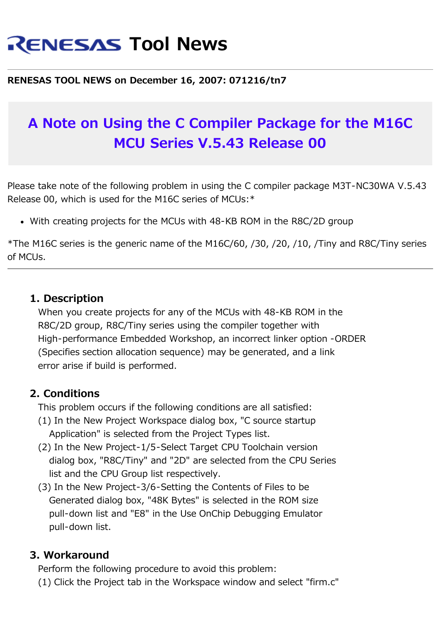# **RENESAS Tool News**

#### **RENESAS TOOL NEWS on December 16, 2007: 071216/tn7**

## **A Note on Using the C Compiler Package for the M16C MCU Series V.5.43 Release 00**

Please take note of the following problem in using the C compiler package M3T-NC30WA V.5.43 Release 00, which is used for the M16C series of MCUs:\*

With creating projects for the MCUs with 48-KB ROM in the R8C/2D group

\*The M16C series is the generic name of the M16C/60, /30, /20, /10, /Tiny and R8C/Tiny series of MCUs.

### **1. Description**

 When you create projects for any of the MCUs with 48-KB ROM in the R8C/2D group, R8C/Tiny series using the compiler together with High-performance Embedded Workshop, an incorrect linker option -ORDER (Specifies section allocation sequence) may be generated, and a link error arise if build is performed.

### **2. Conditions**

This problem occurs if the following conditions are all satisfied:

- (1) In the New Project Workspace dialog box, "C source startup Application" is selected from the Project Types list.
- (2) In the New Project-1/5-Select Target CPU Toolchain version dialog box, "R8C/Tiny" and "2D" are selected from the CPU Series list and the CPU Group list respectively.
- (3) In the New Project-3/6-Setting the Contents of Files to be Generated dialog box, "48K Bytes" is selected in the ROM size pull-down list and "E8" in the Use OnChip Debugging Emulator pull-down list.

### **3. Workaround**

 Perform the following procedure to avoid this problem: (1) Click the Project tab in the Workspace window and select "firm.c"